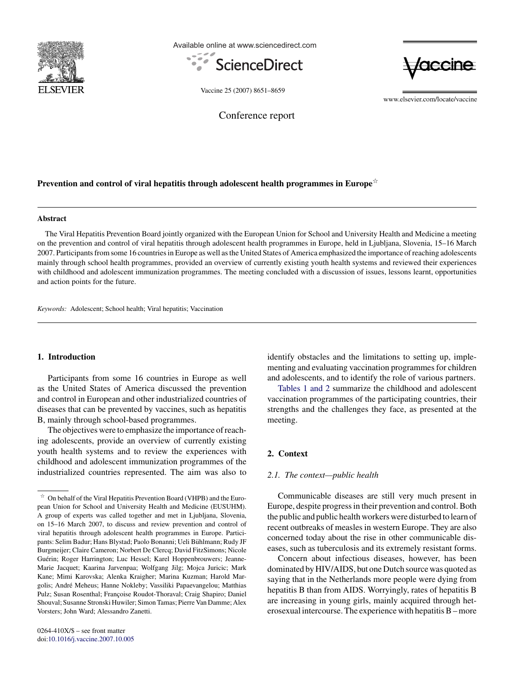

Available online at www.sciencedirect.com





Vaccine 25 (2007) 8651–8659

www.elsevier.com/locate/vaccine

Conference report

# Prevention and control of viral hepatitis through adolescent health programmes in Europe $^{\not\approx}$

#### **Abstract**

The Viral Hepatitis Prevention Board jointly organized with the European Union for School and University Health and Medicine a meeting on the prevention and control of viral hepatitis through adolescent health programmes in Europe, held in Ljubljana, Slovenia, 15–16 March 2007. Participants from some 16 countries in Europe as well as the United States of America emphasized the importance of reaching adolescents mainly through school health programmes, provided an overview of currently existing youth health systems and reviewed their experiences with childhood and adolescent immunization programmes. The meeting concluded with a discussion of issues, lessons learnt, opportunities and action points for the future.

*Keywords:* Adolescent; School health; Viral hepatitis; Vaccination

# **1. Introduction**

Participants from some 16 countries in Europe as well as the United States of America discussed the prevention and control in European and other industrialized countries of diseases that can be prevented by vaccines, such as hepatitis B, mainly through school-based programmes.

The objectives were to emphasize the importance of reaching adolescents, provide an overview of currently existing youth health systems and to review the experiences with childhood and adolescent immunization programmes of the industrialized countries represented. The aim was also to identify obstacles and the limitations to setting up, implementing and evaluating vaccination programmes for children and adolescents, and to identify the role of various partners.

[Tables 1 and 2](#page-1-0) summarize the childhood and adolescent vaccination programmes of the participating countries, their strengths and the challenges they face, as presented at the meeting.

# **2. Context**

#### *2.1. The context—public health*

Communicable diseases are still very much present in Europe, despite progress in their prevention and control. Both the public and public health workers were disturbed to learn of recent outbreaks of measles in western Europe. They are also concerned today about the rise in other communicable diseases, such as tuberculosis and its extremely resistant forms.

Concern about infectious diseases, however, has been dominated by HIV/AIDS, but one Dutch source was quoted as saying that in the Netherlands more people were dying from hepatitis B than from AIDS. Worryingly, rates of hepatitis B are increasing in young girls, mainly acquired through heterosexual intercourse. The experience with hepatitis B – more

 $\frac{1}{24}$  On behalf of the Viral Hepatitis Prevention Board (VHPB) and the European Union for School and University Health and Medicine (EUSUHM). A group of experts was called together and met in Ljubljana, Slovenia, on 15–16 March 2007, to discuss and review prevention and control of viral hepatitis through adolescent health programmes in Europe. Participants: Selim Badur; Hans Blystad; Paolo Bonanni; Ueli Buhlmann; Rudy JF ¨ Burgmeijer; Claire Cameron; Norbert De Clercq; David FitzSimons; Nicole Guérin; Roger Harrington; Luc Hessel; Karel Hoppenbrouwers; Jeanne-Marie Jacquet; Kaarina Jarvenpaa; Wolfgang Jilg; Mojca Juricic; Mark Kane; Mimi Karovska; Alenka Kraigher; Marina Kuzman; Harold Margolis; André Meheus; Hanne Nokleby; Vassiliki Papaevangelou; Matthias Pulz; Susan Rosenthal; Françoise Roudot-Thoraval; Craig Shapiro; Daniel Shouval; Susanne Stronski Huwiler; Simon Tamas; Pierre Van Damme; Alex Vorsters; John Ward; Alessandro Zanetti.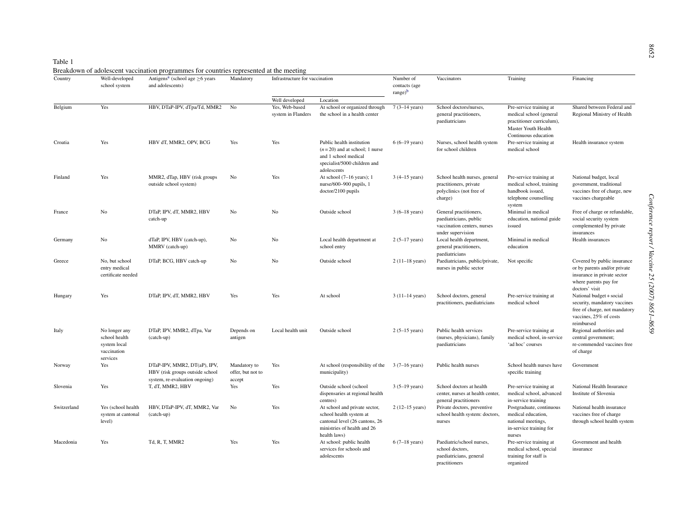| ٢. |  |
|----|--|
|    |  |

<span id="page-1-0"></span>

| Country     | Well-developed<br>school system                                           | Antigens <sup>a</sup> (school age $\geq$ 6 years<br>and adolescents)                              | Mandatory                                   | Infrastructure for vaccination                         |                                                                                                                                           | Number of<br>contacts (age | Vaccinators                                                                                          | Training                                                                                                   | Financing                                                                                                                             |
|-------------|---------------------------------------------------------------------------|---------------------------------------------------------------------------------------------------|---------------------------------------------|--------------------------------------------------------|-------------------------------------------------------------------------------------------------------------------------------------------|----------------------------|------------------------------------------------------------------------------------------------------|------------------------------------------------------------------------------------------------------------|---------------------------------------------------------------------------------------------------------------------------------------|
|             |                                                                           |                                                                                                   |                                             |                                                        |                                                                                                                                           | $range$ <sup>b</sup>       |                                                                                                      |                                                                                                            |                                                                                                                                       |
| Belgium     | Yes                                                                       | HBV, DTaP-IPV, dTpa/Td, MMR2                                                                      | No                                          | Well developed<br>Yes, Web-based<br>system in Flanders | Location<br>At school or organized through<br>the school in a health center                                                               | $7(3-14 \text{ years})$    | School doctors/nurses,<br>general practitioners,<br>paediatricians                                   | Pre-service training at<br>medical school (general<br>practitioner curriculum),                            | Shared between Federal and<br>Regional Ministry of Health                                                                             |
| Croatia     | Yes                                                                       | HBV dT, MMR2, OPV, BCG                                                                            | Yes                                         | Yes                                                    | Public health institution<br>$(n=20)$ and at school; 1 nurse<br>and 1 school medical<br>specialist/5000 children and                      | $6(6-19 \text{ years})$    | Nurses, school health system<br>for school children                                                  | Master Youth Health<br>Continuous education<br>Pre-service training at<br>medical school                   | Health insurance system                                                                                                               |
| Finland     | Yes                                                                       | MMR2, dTap, HBV (risk groups<br>outside school system)                                            | No                                          | Yes                                                    | adolescents<br>At school $(7-16$ years); 1<br>nurse/600-900 pupils, 1<br>$doctor/2100$ pupils                                             | $3(4-15 \text{ years})$    | School health nurses, general<br>practitioners, private<br>polyclinics (not free of<br>charge)       | Pre-service training at<br>medical school, training<br>handbook issued,<br>telephone counselling<br>system | National budget, local<br>government, traditional<br>vaccines free of charge, new<br>vaccines chargeable                              |
| France      | No                                                                        | DTaP, IPV, dT, MMR2, HBV<br>catch-up                                                              | No                                          | No                                                     | Outside school                                                                                                                            | $3(6-18 \text{ years})$    | General practitioners,<br>paediatricians, public<br>vaccination centers, nurses<br>under supervision | Minimal in medical<br>education, national guide<br>issued                                                  | Free of charge or refundable,<br>social security system<br>complemented by private<br>insurances                                      |
| Germany     | No                                                                        | dTaP, IPV, HBV (catch-up),<br>MMRV (catch-up)                                                     | No                                          | No                                                     | Local health department at<br>school entry                                                                                                | $2(5-17 \text{ years})$    | Local health department,<br>general practitioners,<br>paediatricians                                 | Minimal in medical<br>education                                                                            | Health insurances                                                                                                                     |
| Greece      | No. but school<br>entry medical<br>certificate needed                     | DTaP, BCG, HBV catch-up                                                                           | No                                          | N <sub>o</sub>                                         | Outside school                                                                                                                            | $2(11-18 \text{ years})$   | Paediatricians, public/private,<br>nurses in public sector                                           | Not specific                                                                                               | Covered by public insurance<br>or by parents and/or private<br>insurance in private sector<br>where parents pay for<br>doctors' visit |
| Hungary     | Yes                                                                       | DTaP, IPV, dT, MMR2, HBV                                                                          | Yes                                         | Yes                                                    | At school                                                                                                                                 | $3(11-14 \text{ years})$   | School doctors, general<br>practitioners, paediatricians                                             | Pre-service training at<br>medical school                                                                  | National budget + social<br>security, mandatory vaccines<br>free of charge, not mandatory<br>vaccines, 25% of costs<br>reimbursed     |
| Italy       | No longer any<br>school health<br>system local<br>vaccination<br>services | DTaP, IPV, MMR2, dTpa, Var<br>(catch-up)                                                          | Depends on<br>antigen                       | Local health unit                                      | Outside school                                                                                                                            | $2(5-15 \text{ years})$    | Public health services<br>(nurses, physicians), family<br>paediatricians                             | Pre-service training at<br>medical school, in-service<br>'ad hoc' courses                                  | Regional authorities and<br>central government;<br>re-commended vaccines free<br>of charge                                            |
| Norway      | Yes                                                                       | DTaP-IPV, MMR2, DT(aP), IPV,<br>HBV (risk groups outside school<br>system, re-evaluation ongoing) | Mandatory to<br>offer, but not to<br>accept | Yes                                                    | At school (responsibility of the<br>municipality)                                                                                         | $3(7-16 \text{ years})$    | Public health nurses                                                                                 | School health nurses have<br>specific training                                                             | Government                                                                                                                            |
| Slovenia    | Yes                                                                       | T, dT, MMR2, HBV                                                                                  | Yes                                         | Yes                                                    | Outside school (school<br>dispensaries at regional health<br>centres)                                                                     | $3(5-19 \text{ years})$    | School doctors at health<br>center, nurses at health center,<br>general practitioners                | Pre-service training at<br>medical school, advanced<br>in-service training                                 | National Health Insurance<br>Institute of Slovenia                                                                                    |
| Switzerland | Yes (school health<br>system at cantonal<br>level)                        | HBV, DTaP-IPV, dT, MMR2, Var<br>(catch-up)                                                        | No                                          | Yes                                                    | At school and private sector,<br>school health system at<br>cantonal level (26 cantons, 26<br>ministries of health and 26<br>health laws) | $2(12-15 \text{ years})$   | Private doctors, preventive<br>school health system: doctors,<br>nurses                              | Postgraduate, continuous<br>medical education,<br>national meetings,<br>in-service training for<br>nurses  | National health insurance<br>vaccines free of charge<br>through school health system                                                  |
| Macedonia   | Yes                                                                       | Td, R, T, MMR2                                                                                    | Yes                                         | Yes                                                    | At school: public health<br>services for schools and<br>adolescents                                                                       | $6(7-18 \text{ years})$    | Paediatric/school nurses,<br>school doctors,<br>paediatricians, general<br>practitioners             | Pre-service training at<br>medical school, special<br>training for staff is<br>organized                   | Government and health<br>insurance                                                                                                    |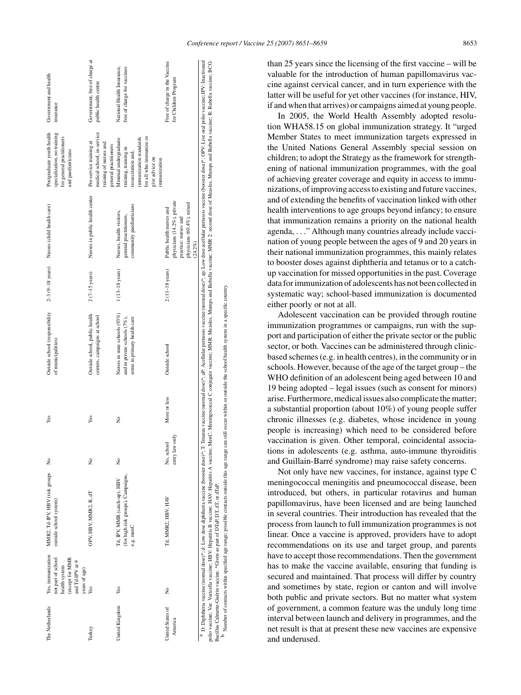<span id="page-2-0"></span>

| The Netherlands             | Yes, immunization<br>not part of school<br>(except for MMR<br>and Td-IPV at 9<br>health system<br>years of age) | MMR2, Td-IPV, HBV (risk groups No<br>outside school system)                                                                                                                                                                                                                                                                                                                                                                                                               |                              | Yes          | Outside school (responsibility<br>of municipalities)                                         |                          | 2-3 (9-18 years) Nurses (child health care)                                                                                | Postgraduate youth health<br>specialization, no training<br>for general practitioners<br>and paediatricians                                                 | Government and health<br>insurance                        |
|-----------------------------|-----------------------------------------------------------------------------------------------------------------|---------------------------------------------------------------------------------------------------------------------------------------------------------------------------------------------------------------------------------------------------------------------------------------------------------------------------------------------------------------------------------------------------------------------------------------------------------------------------|------------------------------|--------------|----------------------------------------------------------------------------------------------|--------------------------|----------------------------------------------------------------------------------------------------------------------------|-------------------------------------------------------------------------------------------------------------------------------------------------------------|-----------------------------------------------------------|
| Turkey                      | Yes                                                                                                             | OPV, HBV, MMR2, R, dT                                                                                                                                                                                                                                                                                                                                                                                                                                                     | $\frac{1}{2}$                | Yes          | Outside school, public health<br>centers, campaigns at school                                | $2(7-15 \text{ years})$  | Nurses in public health center                                                                                             | medical school, in-service<br>Pre-service training at<br>training of nurses and<br>general practitioners                                                    | Government, free of charge at<br>public health centre     |
| United Kingdom              | Yes                                                                                                             | (for high risk groups), Campaigns,<br>Td, IPV, MMR (catch-up), HBV<br>e.g. menC                                                                                                                                                                                                                                                                                                                                                                                           | $\tilde{z}$                  | ż            | Nurses in state schools (93%)<br>some in primary health care<br>and in private schools (7%), | $1(13-18 \text{ years})$ | community paediatricians<br>Nurses, health visitors,<br>general practitioners,                                             | for all who immunize or<br>immunization standards<br>Minimal undergraduate<br>training, training in<br>resuscitation and,<br>give advice on<br>immunization | National Health Insurance,<br>free of charge for vaccines |
| United States of<br>America | ż                                                                                                               | Td, MMR2, HBV, HAV                                                                                                                                                                                                                                                                                                                                                                                                                                                        | entry law only<br>No, school | More or less | Outside school                                                                               | $2(11-18$ years)         | physicians (14.2%), private<br>physicians (60.4%), mixed<br>Public health nurses and<br>practice: nurses and<br>$(24.2\%)$ |                                                                                                                                                             | Free of charge in the Vaccine<br>for Children Program     |
|                             |                                                                                                                 | <sup>3</sup> D: Diphtheria vaccine (normal dose)*, d: Low dose diphtheria vaccine (booster dose)*; T. Tetanus vaccine (normal dose)*; aP: Acellular pertussis vaccine achile are from dose are llular pertussis vaccine (booster dose)*<br>polio vaccine; Varicella vaccine; HBV. Hepatius B vaccine; HAV: Hepatius A vaccine; MenC: Meningsooccal C conjugate vaccine; MMR: Measles, Mumps and Rubella vaccine; MMR 2: second dose of Measles, Mumps and Rubella vaccine |                              |              |                                                                                              |                          |                                                                                                                            |                                                                                                                                                             |                                                           |

Bacillus Calmette-Gu´erin vaccine. \*Given as part of DTaP, DT, dT, or dTaP.

3acillus Calmette-Guérin vaccine. \*Given as part of DTaP, DT, dT, or dTaP.

Number of contacts within specified age range; possible contacts outside this age range can still occur within or outside the school health system in a specific country.

specified age range; possible contacts outside this age

range

school health system in a specific country

side the s or outs

occur within

들  $\ddot{a}$ 

b

Number of contacts within

*Conference report / Vaccine 25 (2007) 8651–8659* 8653

than 25 years since the licensing of the first vaccine – will be valuable for the introduction of human papillomavirus vaccine against cervical cancer, and in turn experience with the latter will be useful for yet other vaccines (for instance, HIV, if and when that arrives) or campaigns aimed at young people.

In 2005, the World Health Assembly adopted resolution WHA58.15 on global immunization strategy. It "urged Member States to meet immunization targets expressed in the United Nations General Assembly special session on children; to adopt the Strategy as the framework for strengthening of national immunization programmes, with the goal of achieving greater coverage and equity in access to immunizations, of improving access to existing and future vaccines, and of extending the benefits of vaccination linked with other health interventions to age groups beyond infancy; to ensure that immunization remains a priority on the national health agenda, ..." Although many countries already include vaccination of young people between the ages of 9 and 20 years in their national immunization programmes, this mainly relates to booster doses against diphtheria and tetanus or to a catchup vaccination for missed opportunities in the past. Coverage data for immunization of adolescents has not been collected in systematic way; school-based immunization is documented either poorly or not at all.

Adolescent vaccination can be provided through routine immunization programmes or campaigns, run with the support and participation of either the private sector or the public sector, or both. Vaccines can be administered through clinicbased schemes (e.g. in health centres), in the community or in schools. However, because of the age of the target group – the WHO definition of an adolescent being aged between 10 and 19 being adopted – legal issues (such as consent for minors) arise. Furthermore, medical issues also complicate the matter; a substantial proportion (about 10%) of young people suffer chronic illnesses (e.g. diabetes, whose incidence in young people is increasing) which need to be considered before vaccination is given. Other temporal, coincidental associations in adolescents (e.g. asthma, auto-immune thyroiditis and Guillain-Barré syndrome) may raise safety concerns.

Not only have new vaccines, for instance, against type C meningococcal meningitis and pneumococcal disease, been introduced, but others, in particular rotavirus and human papillomavirus, have been licensed and are being launched in several countries. Their introduction has revealed that the process from launch to full immunization programmes is not linear. Once a vaccine is approved, providers have to adopt recommendations on its use and target group, and parents have to accept those recommendations. Then the government has to make the vaccine available, ensuring that funding is secured and maintained. That process will differ by country and sometimes by state, region or canton and will involve both public and private sectors. But no matter what system of government, a common feature was the unduly long time interval between launch and delivery in programmes, and the net result is that at present these new vaccines are expensive and underused.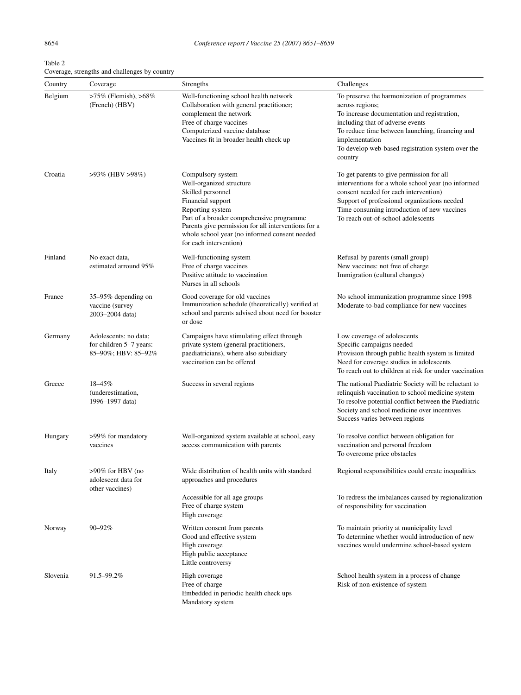| Table 2                                       |  |
|-----------------------------------------------|--|
| Coverage, strengths and challenges by country |  |

| Country  | Coverage                                                                | Strengths                                                                                                                                                                                                                                                                                  | Challenges                                                                                                                                                                                                                                                                             |
|----------|-------------------------------------------------------------------------|--------------------------------------------------------------------------------------------------------------------------------------------------------------------------------------------------------------------------------------------------------------------------------------------|----------------------------------------------------------------------------------------------------------------------------------------------------------------------------------------------------------------------------------------------------------------------------------------|
| Belgium  | >75% (Flemish), >68%<br>(French) (HBV)                                  | Well-functioning school health network<br>Collaboration with general practitioner;<br>complement the network<br>Free of charge vaccines<br>Computerized vaccine database<br>Vaccines fit in broader health check up                                                                        | To preserve the harmonization of programmes<br>across regions;<br>To increase documentation and registration,<br>including that of adverse events<br>To reduce time between launching, financing and<br>implementation<br>To develop web-based registration system over the<br>country |
| Croatia  | $>93\%$ (HBV $>98\%)$                                                   | Compulsory system<br>Well-organized structure<br>Skilled personnel<br>Financial support<br>Reporting system<br>Part of a broader comprehensive programme<br>Parents give permission for all interventions for a<br>whole school year (no informed consent needed<br>for each intervention) | To get parents to give permission for all<br>interventions for a whole school year (no informed<br>consent needed for each intervention)<br>Support of professional organizations needed<br>Time consuming introduction of new vaccines<br>To reach out-of-school adolescents          |
| Finland  | No exact data,<br>estimated arround 95%                                 | Well-functioning system<br>Free of charge vaccines<br>Positive attitude to vaccination<br>Nurses in all schools                                                                                                                                                                            | Refusal by parents (small group)<br>New vaccines: not free of charge<br>Immigration (cultural changes)                                                                                                                                                                                 |
| France   | 35–95% depending on<br>vaccine (survey<br>2003-2004 data)               | Good coverage for old vaccines<br>Immunization schedule (theoretically) verified at<br>school and parents advised about need for booster<br>or dose                                                                                                                                        | No school immunization programme since 1998<br>Moderate-to-bad compliance for new vaccines                                                                                                                                                                                             |
| Germany  | Adolescents: no data;<br>for children 5-7 years:<br>85-90%; HBV: 85-92% | Campaigns have stimulating effect through<br>private system (general practitioners,<br>paediatricians), where also subsidiary<br>vaccination can be offered                                                                                                                                | Low coverage of adolescents<br>Specific campaigns needed<br>Provision through public health system is limited<br>Need for coverage studies in adolescents<br>To reach out to children at risk for under vaccination                                                                    |
| Greece   | $18 - 45\%$<br>(underestimation,<br>1996-1997 data)                     | Success in several regions                                                                                                                                                                                                                                                                 | The national Paediatric Society will be reluctant to<br>relinquish vaccination to school medicine system<br>To resolve potential conflict between the Paediatric<br>Society and school medicine over incentives<br>Success varies between regions                                      |
| Hungary  | >99% for mandatory<br>vaccines                                          | Well-organized system available at school, easy<br>access communication with parents                                                                                                                                                                                                       | To resolve conflict between obligation for<br>vaccination and personal freedom<br>To overcome price obstacles                                                                                                                                                                          |
| Italy    | >90% for HBV (no<br>adolescent data for<br>other vaccines)              | Wide distribution of health units with standard<br>approaches and procedures                                                                                                                                                                                                               | Regional responsibilities could create inequalities                                                                                                                                                                                                                                    |
|          |                                                                         | Accessible for all age groups<br>Free of charge system<br>High coverage                                                                                                                                                                                                                    | To redress the imbalances caused by regionalization<br>of responsibility for vaccination                                                                                                                                                                                               |
| Norway   | 90-92%                                                                  | Written consent from parents<br>Good and effective system<br>High coverage<br>High public acceptance<br>Little controversy                                                                                                                                                                 | To maintain priority at municipality level<br>To determine whether would introduction of new<br>vaccines would undermine school-based system                                                                                                                                           |
| Slovenia | 91.5-99.2%                                                              | High coverage<br>Free of charge<br>Embedded in periodic health check ups<br>Mandatory system                                                                                                                                                                                               | School health system in a process of change<br>Risk of non-existence of system                                                                                                                                                                                                         |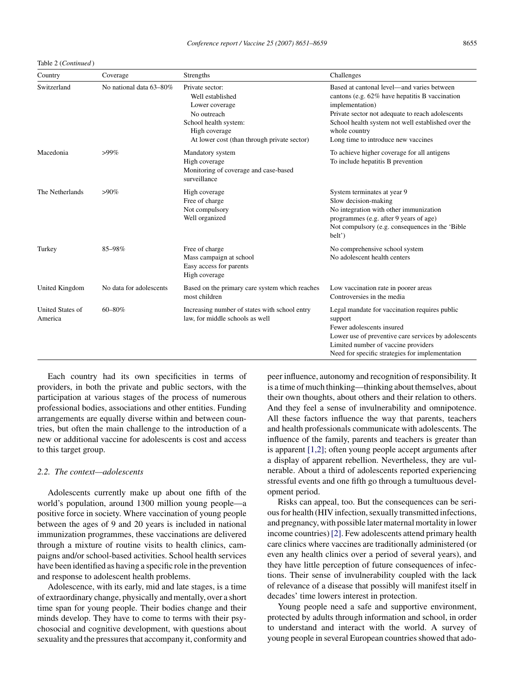Table 2 (*Continued* )

| Country                            | Coverage                | <b>Strengths</b>                                                                                                                                              | Challenges                                                                                                                                                                                                                                                                        |
|------------------------------------|-------------------------|---------------------------------------------------------------------------------------------------------------------------------------------------------------|-----------------------------------------------------------------------------------------------------------------------------------------------------------------------------------------------------------------------------------------------------------------------------------|
| Switzerland                        | No national data 63-80% | Private sector:<br>Well established<br>Lower coverage<br>No outreach<br>School health system:<br>High coverage<br>At lower cost (than through private sector) | Based at cantonal level—and varies between<br>cantons (e.g. 62% have hepatitis B vaccination<br>implementation)<br>Private sector not adequate to reach adolescents<br>School health system not well established over the<br>whole country<br>Long time to introduce new vaccines |
| Macedonia                          | $>99\%$                 | Mandatory system<br>High coverage<br>Monitoring of coverage and case-based<br>surveillance                                                                    | To achieve higher coverage for all antigens<br>To include hepatitis B prevention                                                                                                                                                                                                  |
| The Netherlands                    | $>90\%$                 | High coverage<br>Free of charge<br>Not compulsory<br>Well organized                                                                                           | System terminates at year 9<br>Slow decision-making<br>No integration with other immunization<br>programmes (e.g. after 9 years of age)<br>Not compulsory (e.g. consequences in the 'Bible<br>belt')                                                                              |
| Turkey                             | 85-98%                  | Free of charge<br>Mass campaign at school<br>Easy access for parents<br>High coverage                                                                         | No comprehensive school system<br>No adolescent health centers                                                                                                                                                                                                                    |
| United Kingdom                     | No data for adolescents | Based on the primary care system which reaches<br>most children                                                                                               | Low vaccination rate in poorer areas<br>Controversies in the media                                                                                                                                                                                                                |
| <b>United States of</b><br>America | 60-80%                  | Increasing number of states with school entry<br>law, for middle schools as well                                                                              | Legal mandate for vaccination requires public<br>support<br>Fewer adolescents insured<br>Lower use of preventive care services by adolescents<br>Limited number of vaccine providers<br>Need for specific strategies for implementation                                           |

Each country had its own specificities in terms of providers, in both the private and public sectors, with the participation at various stages of the process of numerous professional bodies, associations and other entities. Funding arrangements are equally diverse within and between countries, but often the main challenge to the introduction of a new or additional vaccine for adolescents is cost and access to this target group.

## *2.2. The context—adolescents*

Adolescents currently make up about one fifth of the world's population, around 1300 million young people—a positive force in society. Where vaccination of young people between the ages of 9 and 20 years is included in national immunization programmes, these vaccinations are delivered through a mixture of routine visits to health clinics, campaigns and/or school-based activities. School health services have been identified as having a specific role in the prevention and response to adolescent health problems.

Adolescence, with its early, mid and late stages, is a time of extraordinary change, physically and mentally, over a short time span for young people. Their bodies change and their minds develop. They have to come to terms with their psychosocial and cognitive development, with questions about sexuality and the pressures that accompany it, conformity and

peer influence, autonomy and recognition of responsibility. It is a time of much thinking—thinking about themselves, about their own thoughts, about others and their relation to others. And they feel a sense of invulnerability and omnipotence. All these factors influence the way that parents, teachers and health professionals communicate with adolescents. The influence of the family, parents and teachers is greater than is apparent [\[1,2\];](#page-8-0) often young people accept arguments after a display of apparent rebellion. Nevertheless, they are vulnerable. About a third of adolescents reported experiencing stressful events and one fifth go through a tumultuous development period.

Risks can appeal, too. But the consequences can be serious for health (HIV infection, sexually transmitted infections, and pregnancy, with possible later maternal mortality in lower income countries) [\[2\]. F](#page-8-0)ew adolescents attend primary health care clinics where vaccines are traditionally administered (or even any health clinics over a period of several years), and they have little perception of future consequences of infections. Their sense of invulnerability coupled with the lack of relevance of a disease that possibly will manifest itself in decades' time lowers interest in protection.

Young people need a safe and supportive environment, protected by adults through information and school, in order to understand and interact with the world. A survey of young people in several European countries showed that ado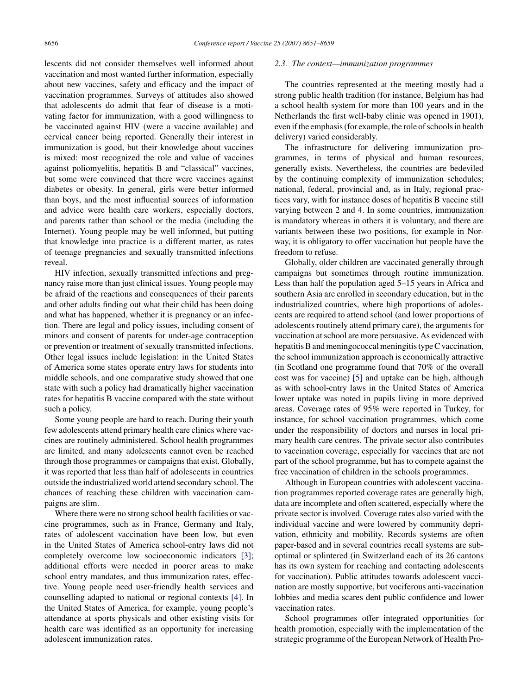lescents did not consider themselves well informed about vaccination and most wanted further information, especially about new vaccines, safety and efficacy and the impact of vaccination programmes. Surveys of attitudes also showed that adolescents do admit that fear of disease is a motivating factor for immunization, with a good willingness to be vaccinated against HIV (were a vaccine available) and cervical cancer being reported. Generally their interest in immunization is good, but their knowledge about vaccines is mixed: most recognized the role and value of vaccines against poliomyelitis, hepatitis B and "classical" vaccines, but some were convinced that there were vaccines against diabetes or obesity. In general, girls were better informed than boys, and the most influential sources of information and advice were health care workers, especially doctors, and parents rather than school or the media (including the Internet). Young people may be well informed, but putting that knowledge into practice is a different matter, as rates of teenage pregnancies and sexually transmitted infections reveal.

HIV infection, sexually transmitted infections and pregnancy raise more than just clinical issues. Young people may be afraid of the reactions and consequences of their parents and other adults finding out what their child has been doing and what has happened, whether it is pregnancy or an infection. There are legal and policy issues, including consent of minors and consent of parents for under-age contraception or prevention or treatment of sexually transmitted infections. Other legal issues include legislation: in the United States of America some states operate entry laws for students into middle schools, and one comparative study showed that one state with such a policy had dramatically higher vaccination rates for hepatitis B vaccine compared with the state without such a policy.

Some young people are hard to reach. During their youth few adolescents attend primary health care clinics where vaccines are routinely administered. School health programmes are limited, and many adolescents cannot even be reached through those programmes or campaigns that exist. Globally, it was reported that less than half of adolescents in countries outside the industrialized world attend secondary school. The chances of reaching these children with vaccination campaigns are slim.

Where there were no strong school health facilities or vaccine programmes, such as in France, Germany and Italy, rates of adolescent vaccination have been low, but even in the United States of America school-entry laws did not completely overcome low socioeconomic indicators [\[3\];](#page-8-0) additional efforts were needed in poorer areas to make school entry mandates, and thus immunization rates, effective. Young people need user-friendly health services and counselling adapted to national or regional contexts [\[4\].](#page-8-0) In the United States of America, for example, young people's attendance at sports physicals and other existing visits for health care was identified as an opportunity for increasing adolescent immunization rates.

#### *2.3. The context—immunization programmes*

The countries represented at the meeting mostly had a strong public health tradition (for instance, Belgium has had a school health system for more than 100 years and in the Netherlands the first well-baby clinic was opened in 1901), even if the emphasis (for example, the role of schools in health delivery) varied considerably.

The infrastructure for delivering immunization programmes, in terms of physical and human resources, generally exists. Nevertheless, the countries are bedeviled by the continuing complexity of immunization schedules; national, federal, provincial and, as in Italy, regional practices vary, with for instance doses of hepatitis B vaccine still varying between 2 and 4. In some countries, immunization is mandatory whereas in others it is voluntary, and there are variants between these two positions, for example in Norway, it is obligatory to offer vaccination but people have the freedom to refuse.

Globally, older children are vaccinated generally through campaigns but sometimes through routine immunization. Less than half the population aged 5–15 years in Africa and southern Asia are enrolled in secondary education, but in the industrialized countries, where high proportions of adolescents are required to attend school (and lower proportions of adolescents routinely attend primary care), the arguments for vaccination at school are more persuasive. As evidenced with hepatitis B and meningococcal meningitis type C vaccination, the school immunization approach is economically attractive (in Scotland one programme found that 70% of the overall cost was for vaccine) [\[5\]](#page-8-0) and uptake can be high, although as with school-entry laws in the United States of America lower uptake was noted in pupils living in more deprived areas. Coverage rates of 95% were reported in Turkey, for instance, for school vaccination programmes, which come under the responsibility of doctors and nurses in local primary health care centres. The private sector also contributes to vaccination coverage, especially for vaccines that are not part of the school programme, but has to compete against the free vaccination of children in the schools programmes.

Although in European countries with adolescent vaccination programmes reported coverage rates are generally high, data are incomplete and often scattered, especially where the private sector is involved. Coverage rates also varied with the individual vaccine and were lowered by community deprivation, ethnicity and mobility. Records systems are often paper-based and in several countries recall systems are suboptimal or splintered (in Switzerland each of its 26 cantons has its own system for reaching and contacting adolescents for vaccination). Public attitudes towards adolescent vaccination are mostly supportive, but vociferous anti-vaccination lobbies and media scares dent public confidence and lower vaccination rates.

School programmes offer integrated opportunities for health promotion, especially with the implementation of the strategic programme of the European Network of Health Pro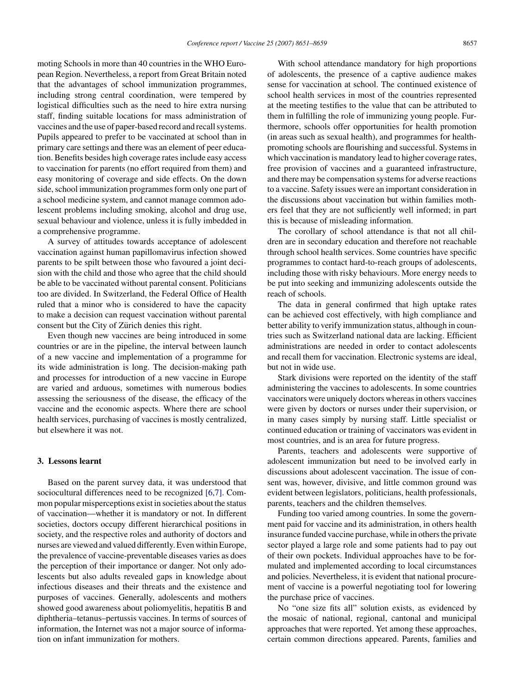moting Schools in more than 40 countries in the WHO European Region. Nevertheless, a report from Great Britain noted that the advantages of school immunization programmes, including strong central coordination, were tempered by logistical difficulties such as the need to hire extra nursing staff, finding suitable locations for mass administration of vaccines and the use of paper-based record and recall systems. Pupils appeared to prefer to be vaccinated at school than in primary care settings and there was an element of peer education. Benefits besides high coverage rates include easy access to vaccination for parents (no effort required from them) and easy monitoring of coverage and side effects. On the down side, school immunization programmes form only one part of a school medicine system, and cannot manage common adolescent problems including smoking, alcohol and drug use, sexual behaviour and violence, unless it is fully imbedded in a comprehensive programme.

A survey of attitudes towards acceptance of adolescent vaccination against human papillomavirus infection showed parents to be spilt between those who favoured a joint decision with the child and those who agree that the child should be able to be vaccinated without parental consent. Politicians too are divided. In Switzerland, the Federal Office of Health ruled that a minor who is considered to have the capacity to make a decision can request vaccination without parental consent but the City of Zürich denies this right.

Even though new vaccines are being introduced in some countries or are in the pipeline, the interval between launch of a new vaccine and implementation of a programme for its wide administration is long. The decision-making path and processes for introduction of a new vaccine in Europe are varied and arduous, sometimes with numerous bodies assessing the seriousness of the disease, the efficacy of the vaccine and the economic aspects. Where there are school health services, purchasing of vaccines is mostly centralized, but elsewhere it was not.

# **3. Lessons learnt**

Based on the parent survey data, it was understood that sociocultural differences need to be recognized [\[6,7\].](#page-8-0) Common popular misperceptions exist in societies about the status of vaccination—whether it is mandatory or not. In different societies, doctors occupy different hierarchical positions in society, and the respective roles and authority of doctors and nurses are viewed and valued differently. Even within Europe, the prevalence of vaccine-preventable diseases varies as does the perception of their importance or danger. Not only adolescents but also adults revealed gaps in knowledge about infectious diseases and their threats and the existence and purposes of vaccines. Generally, adolescents and mothers showed good awareness about poliomyelitis, hepatitis B and diphtheria–tetanus–pertussis vaccines. In terms of sources of information, the Internet was not a major source of information on infant immunization for mothers.

With school attendance mandatory for high proportions of adolescents, the presence of a captive audience makes sense for vaccination at school. The continued existence of school health services in most of the countries represented at the meeting testifies to the value that can be attributed to them in fulfilling the role of immunizing young people. Furthermore, schools offer opportunities for health promotion (in areas such as sexual health), and programmes for healthpromoting schools are flourishing and successful. Systems in which vaccination is mandatory lead to higher coverage rates, free provision of vaccines and a guaranteed infrastructure, and there may be compensation systems for adverse reactions to a vaccine. Safety issues were an important consideration in the discussions about vaccination but within families mothers feel that they are not sufficiently well informed; in part this is because of misleading information.

The corollary of school attendance is that not all children are in secondary education and therefore not reachable through school health services. Some countries have specific programmes to contact hard-to-reach groups of adolescents, including those with risky behaviours. More energy needs to be put into seeking and immunizing adolescents outside the reach of schools.

The data in general confirmed that high uptake rates can be achieved cost effectively, with high compliance and better ability to verify immunization status, although in countries such as Switzerland national data are lacking. Efficient administrations are needed in order to contact adolescents and recall them for vaccination. Electronic systems are ideal, but not in wide use.

Stark divisions were reported on the identity of the staff administering the vaccines to adolescents. In some countries vaccinators were uniquely doctors whereas in others vaccines were given by doctors or nurses under their supervision, or in many cases simply by nursing staff. Little specialist or continued education or training of vaccinators was evident in most countries, and is an area for future progress.

Parents, teachers and adolescents were supportive of adolescent immunization but need to be involved early in discussions about adolescent vaccination. The issue of consent was, however, divisive, and little common ground was evident between legislators, politicians, health professionals, parents, teachers and the children themselves.

Funding too varied among countries. In some the government paid for vaccine and its administration, in others health insurance funded vaccine purchase, while in others the private sector played a large role and some patients had to pay out of their own pockets. Individual approaches have to be formulated and implemented according to local circumstances and policies. Nevertheless, it is evident that national procurement of vaccine is a powerful negotiating tool for lowering the purchase price of vaccines.

No "one size fits all" solution exists, as evidenced by the mosaic of national, regional, cantonal and municipal approaches that were reported. Yet among these approaches, certain common directions appeared. Parents, families and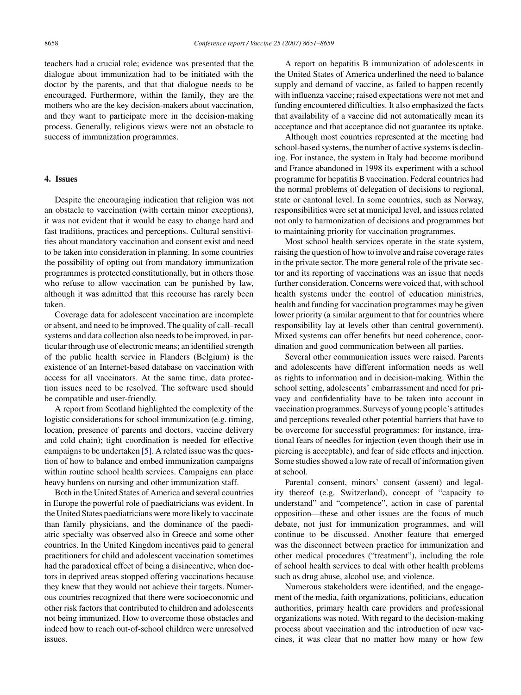teachers had a crucial role; evidence was presented that the dialogue about immunization had to be initiated with the doctor by the parents, and that that dialogue needs to be encouraged. Furthermore, within the family, they are the mothers who are the key decision-makers about vaccination, and they want to participate more in the decision-making process. Generally, religious views were not an obstacle to success of immunization programmes.

# **4. Issues**

Despite the encouraging indication that religion was not an obstacle to vaccination (with certain minor exceptions), it was not evident that it would be easy to change hard and fast traditions, practices and perceptions. Cultural sensitivities about mandatory vaccination and consent exist and need to be taken into consideration in planning. In some countries the possibility of opting out from mandatory immunization programmes is protected constitutionally, but in others those who refuse to allow vaccination can be punished by law, although it was admitted that this recourse has rarely been taken.

Coverage data for adolescent vaccination are incomplete or absent, and need to be improved. The quality of call–recall systems and data collection also needs to be improved, in particular through use of electronic means; an identified strength of the public health service in Flanders (Belgium) is the existence of an Internet-based database on vaccination with access for all vaccinators. At the same time, data protection issues need to be resolved. The software used should be compatible and user-friendly.

A report from Scotland highlighted the complexity of the logistic considerations for school immunization (e.g. timing, location, presence of parents and doctors, vaccine delivery and cold chain); tight coordination is needed for effective campaigns to be undertaken [\[5\]. A](#page-8-0) related issue was the question of how to balance and embed immunization campaigns within routine school health services. Campaigns can place heavy burdens on nursing and other immunization staff.

Both in the United States of America and several countries in Europe the powerful role of paediatricians was evident. In the United States paediatricians were more likely to vaccinate than family physicians, and the dominance of the paediatric specialty was observed also in Greece and some other countries. In the United Kingdom incentives paid to general practitioners for child and adolescent vaccination sometimes had the paradoxical effect of being a disincentive, when doctors in deprived areas stopped offering vaccinations because they knew that they would not achieve their targets. Numerous countries recognized that there were socioeconomic and other risk factors that contributed to children and adolescents not being immunized. How to overcome those obstacles and indeed how to reach out-of-school children were unresolved issues.

A report on hepatitis B immunization of adolescents in the United States of America underlined the need to balance supply and demand of vaccine, as failed to happen recently with influenza vaccine; raised expectations were not met and funding encountered difficulties. It also emphasized the facts that availability of a vaccine did not automatically mean its acceptance and that acceptance did not guarantee its uptake.

Although most countries represented at the meeting had school-based systems, the number of active systems is declining. For instance, the system in Italy had become moribund and France abandoned in 1998 its experiment with a school programme for hepatitis B vaccination. Federal countries had the normal problems of delegation of decisions to regional, state or cantonal level. In some countries, such as Norway, responsibilities were set at municipal level, and issues related not only to harmonization of decisions and programmes but to maintaining priority for vaccination programmes.

Most school health services operate in the state system, raising the question of how to involve and raise coverage rates in the private sector. The more general role of the private sector and its reporting of vaccinations was an issue that needs further consideration. Concerns were voiced that, with school health systems under the control of education ministries, health and funding for vaccination programmes may be given lower priority (a similar argument to that for countries where responsibility lay at levels other than central government). Mixed systems can offer benefits but need coherence, coordination and good communication between all parties.

Several other communication issues were raised. Parents and adolescents have different information needs as well as rights to information and in decision-making. Within the school setting, adolescents' embarrassment and need for privacy and confidentiality have to be taken into account in vaccination programmes. Surveys of young people's attitudes and perceptions revealed other potential barriers that have to be overcome for successful programmes: for instance, irrational fears of needles for injection (even though their use in piercing is acceptable), and fear of side effects and injection. Some studies showed a low rate of recall of information given at school.

Parental consent, minors' consent (assent) and legality thereof (e.g. Switzerland), concept of "capacity to understand" and "competence", action in case of parental opposition—these and other issues are the focus of much debate, not just for immunization programmes, and will continue to be discussed. Another feature that emerged was the disconnect between practice for immunization and other medical procedures ("treatment"), including the role of school health services to deal with other health problems such as drug abuse, alcohol use, and violence.

Numerous stakeholders were identified, and the engagement of the media, faith organizations, politicians, education authorities, primary health care providers and professional organizations was noted. With regard to the decision-making process about vaccination and the introduction of new vaccines, it was clear that no matter how many or how few